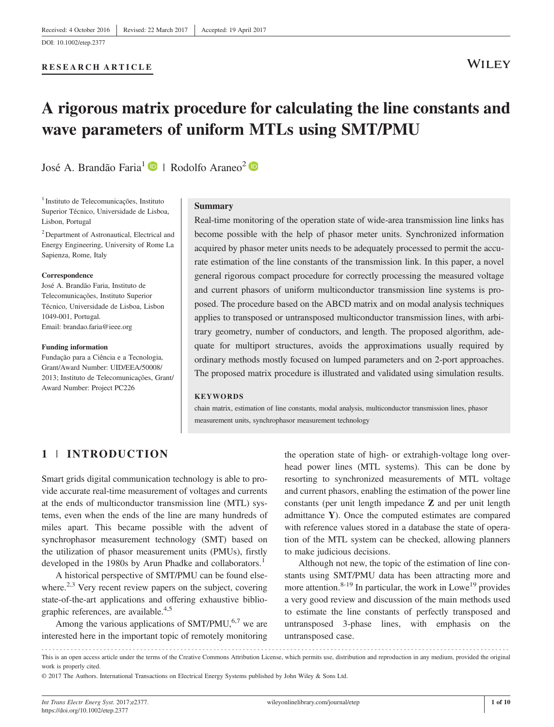[DOI: 10.1002/etep.2377](https://doi.org/10.1002/etep.2377)

# RESEARCH ARTICLE

# **WILEY**

# A rigorous matrix procedure for calculating the line constants and wave parameters of uniform MTLs using SMT/PMU

José A. Brandão Faria<sup>1</sup>  $\bullet$  | Rodolfo Araneo<sup>2</sup>  $\bullet$ 

<sup>1</sup> Instituto de Telecomunicações, Instituto Superior Técnico, Universidade de Lisboa, Lisbon, Portugal

<sup>2</sup> Department of Astronautical, Electrical and Energy Engineering, University of Rome La Sapienza, Rome, Italy

#### Correspondence

José A. Brandão Faria, Instituto de Telecomunicações, Instituto Superior Técnico, Universidade de Lisboa, Lisbon 1049‐001, Portugal. Email: [brandao.faria@ieee.org](mailto:brandao.faria@ieee.org)

#### Funding information

Fundação para a Ciência e a Tecnologia, Grant/Award Number: UID/EEA/50008/ 2013; Instituto de Telecomunicações, Grant/ Award Number: Project PC226

#### Summary

Real-time monitoring of the operation state of wide-area transmission line links has become possible with the help of phasor meter units. Synchronized information acquired by phasor meter units needs to be adequately processed to permit the accurate estimation of the line constants of the transmission link. In this paper, a novel general rigorous compact procedure for correctly processing the measured voltage and current phasors of uniform multiconductor transmission line systems is proposed. The procedure based on the ABCD matrix and on modal analysis techniques applies to transposed or untransposed multiconductor transmission lines, with arbitrary geometry, number of conductors, and length. The proposed algorithm, adequate for multiport structures, avoids the approximations usually required by ordinary methods mostly focused on lumped parameters and on 2‐port approaches. The proposed matrix procedure is illustrated and validated using simulation results.

#### **KEYWORDS**

chain matrix, estimation of line constants, modal analysis, multiconductor transmission lines, phasor measurement units, synchrophasor measurement technology

# 1 | INTRODUCTION

Smart grids digital communication technology is able to provide accurate real‐time measurement of voltages and currents at the ends of multiconductor transmission line (MTL) systems, even when the ends of the line are many hundreds of miles apart. This became possible with the advent of synchrophasor measurement technology (SMT) based on the utilization of phasor measurement units (PMUs), firstly developed in the 1980s by Arun Phadke and collaborators.<sup>1</sup>

A historical perspective of SMT/PMU can be found elsewhere.<sup>2,3</sup> Very recent review papers on the subject, covering state-of-the-art applications and offering exhaustive bibliographic references, are available.<sup>4,5</sup>

Among the various applications of  $SMT/PMU$ ,<sup>6,7</sup> we are interested here in the important topic of remotely monitoring the operation state of high‐ or extrahigh‐voltage long overhead power lines (MTL systems). This can be done by resorting to synchronized measurements of MTL voltage and current phasors, enabling the estimation of the power line constants (per unit length impedance Z and per unit length admittance Y). Once the computed estimates are compared with reference values stored in a database the state of operation of the MTL system can be checked, allowing planners to make judicious decisions.

Although not new, the topic of the estimation of line constants using SMT/PMU data has been attracting more and more attention.<sup>8-19</sup> In particular, the work in Lowe<sup>19</sup> provides a very good review and discussion of the main methods used to estimate the line constants of perfectly transposed and untransposed 3‐phase lines, with emphasis on the untransposed case.

<sup>-------------------------------------------------------------------------------------------------------------------------------</sup> - This is an open access article under the terms of the [Creative Commons Attribution](http://creativecommons.org/licenses/by/4.0/) License, which permits use, distribution and reproduction in any medium, provided the original work is properly cited.

<sup>© 2017</sup> The Authors. International Transactions on Electrical Energy Systems published by John Wiley & Sons Ltd.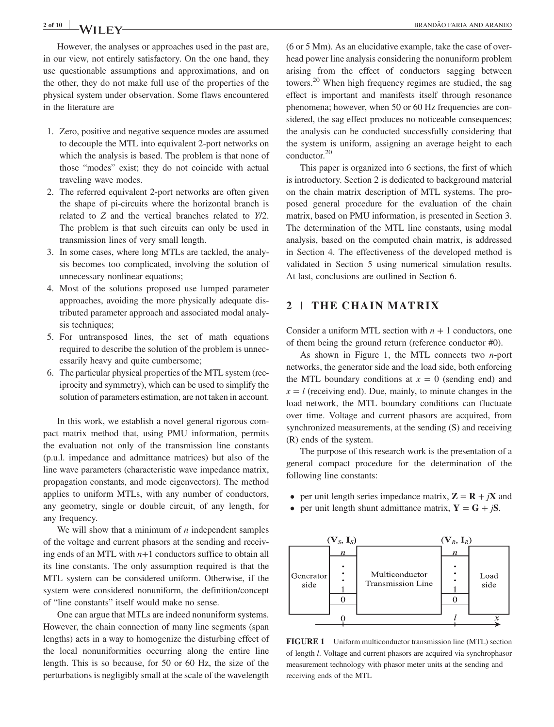# 2 of 10 **BRANDÃO FARIA AND ARANEO**

However, the analyses or approaches used in the past are, in our view, not entirely satisfactory. On the one hand, they use questionable assumptions and approximations, and on the other, they do not make full use of the properties of the physical system under observation. Some flaws encountered in the literature are

- 1. Zero, positive and negative sequence modes are assumed to decouple the MTL into equivalent 2‐port networks on which the analysis is based. The problem is that none of those "modes" exist; they do not coincide with actual traveling wave modes.
- 2. The referred equivalent 2‐port networks are often given the shape of pi‐circuits where the horizontal branch is related to Z and the vertical branches related to Y/2. The problem is that such circuits can only be used in transmission lines of very small length.
- 3. In some cases, where long MTLs are tackled, the analysis becomes too complicated, involving the solution of unnecessary nonlinear equations;
- 4. Most of the solutions proposed use lumped parameter approaches, avoiding the more physically adequate distributed parameter approach and associated modal analysis techniques;
- 5. For untransposed lines, the set of math equations required to describe the solution of the problem is unnecessarily heavy and quite cumbersome;
- 6. The particular physical properties of the MTL system (reciprocity and symmetry), which can be used to simplify the solution of parameters estimation, are not taken in account.

In this work, we establish a novel general rigorous compact matrix method that, using PMU information, permits the evaluation not only of the transmission line constants (p.u.l. impedance and admittance matrices) but also of the line wave parameters (characteristic wave impedance matrix, propagation constants, and mode eigenvectors). The method applies to uniform MTLs, with any number of conductors, any geometry, single or double circuit, of any length, for any frequency.

We will show that a minimum of  $n$  independent samples of the voltage and current phasors at the sending and receiving ends of an MTL with  $n+1$  conductors suffice to obtain all its line constants. The only assumption required is that the MTL system can be considered uniform. Otherwise, if the system were considered nonuniform, the definition/concept of "line constants" itself would make no sense.

One can argue that MTLs are indeed nonuniform systems. However, the chain connection of many line segments (span lengths) acts in a way to homogenize the disturbing effect of the local nonuniformities occurring along the entire line length. This is so because, for 50 or 60 Hz, the size of the perturbations is negligibly small at the scale of the wavelength

(6 or 5 Mm). As an elucidative example, take the case of overhead power line analysis considering the nonuniform problem arising from the effect of conductors sagging between towers.<sup>20</sup> When high frequency regimes are studied, the sag effect is important and manifests itself through resonance phenomena; however, when 50 or 60 Hz frequencies are considered, the sag effect produces no noticeable consequences; the analysis can be conducted successfully considering that the system is uniform, assigning an average height to each conductor.20

This paper is organized into 6 sections, the first of which is introductory. Section 2 is dedicated to background material on the chain matrix description of MTL systems. The proposed general procedure for the evaluation of the chain matrix, based on PMU information, is presented in Section 3. The determination of the MTL line constants, using modal analysis, based on the computed chain matrix, is addressed in Section 4. The effectiveness of the developed method is validated in Section 5 using numerical simulation results. At last, conclusions are outlined in Section 6.

# 2 | THE CHAIN MATRIX

Consider a uniform MTL section with  $n + 1$  conductors, one of them being the ground return (reference conductor #0).

As shown in Figure 1, the MTL connects two  $n$ -port networks, the generator side and the load side, both enforcing the MTL boundary conditions at  $x = 0$  (sending end) and  $x = l$  (receiving end). Due, mainly, to minute changes in the load network, the MTL boundary conditions can fluctuate over time. Voltage and current phasors are acquired, from synchronized measurements, at the sending (S) and receiving (R) ends of the system.

The purpose of this research work is the presentation of a general compact procedure for the determination of the following line constants:

- per unit length series impedance matrix,  $\mathbf{Z} = \mathbf{R} + i\mathbf{X}$  and
- per unit length shunt admittance matrix,  $Y = G + jS$ .



FIGURE 1 Uniform multiconductor transmission line (MTL) section of length l. Voltage and current phasors are acquired via synchrophasor measurement technology with phasor meter units at the sending and receiving ends of the MTL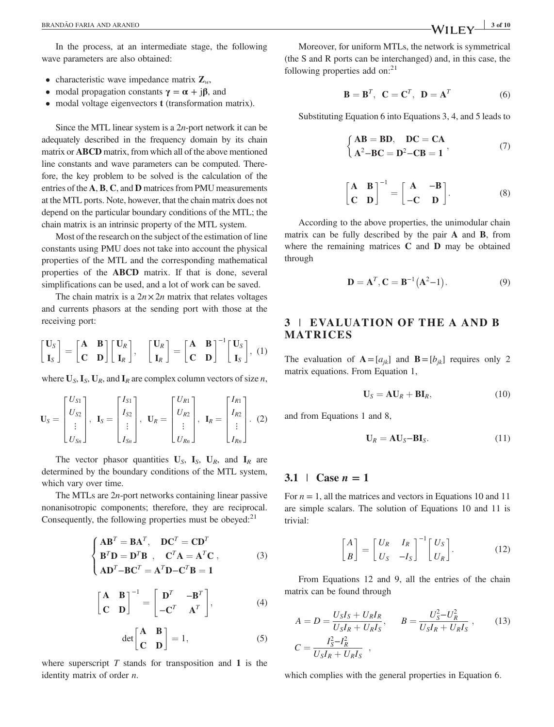In the process, at an intermediate stage, the following wave parameters are also obtained:

- characteristic wave impedance matrix  $\mathbf{Z}_w$ ,
- modal propagation constants  $\gamma = \alpha + j\beta$ , and
- modal voltage eigenvectors **t** (transformation matrix).

Since the MTL linear system is a  $2n$ -port network it can be adequately described in the frequency domain by its chain matrix or ABCD matrix, from which all of the above mentioned line constants and wave parameters can be computed. Therefore, the key problem to be solved is the calculation of the entries of the A, B, C, and D matrices from PMU measurements at the MTL ports. Note, however, that the chain matrix does not depend on the particular boundary conditions of the MTL; the chain matrix is an intrinsic property of the MTL system.

Most of the research on the subject of the estimation of line constants using PMU does not take into account the physical properties of the MTL and the corresponding mathematical properties of the ABCD matrix. If that is done, several simplifications can be used, and a lot of work can be saved.

The chain matrix is a  $2n \times 2n$  matrix that relates voltages and currents phasors at the sending port with those at the receiving port:

$$
\begin{bmatrix} \mathbf{U}_S \\ \mathbf{I}_S \end{bmatrix} = \begin{bmatrix} \mathbf{A} & \mathbf{B} \\ \mathbf{C} & \mathbf{D} \end{bmatrix} \begin{bmatrix} \mathbf{U}_R \\ \mathbf{I}_R \end{bmatrix}, \quad \begin{bmatrix} \mathbf{U}_R \\ \mathbf{I}_R \end{bmatrix} = \begin{bmatrix} \mathbf{A} & \mathbf{B} \\ \mathbf{C} & \mathbf{D} \end{bmatrix}^{-1} \begin{bmatrix} \mathbf{U}_S \\ \mathbf{I}_S \end{bmatrix}, (1)
$$

where  $U_s$ ,  $I_s$ ,  $U_R$ , and  $I_R$  are complex column vectors of size *n*,

$$
\mathbf{U}_{S} = \begin{bmatrix} U_{S1} \\ U_{S2} \\ \vdots \\ U_{Sn} \end{bmatrix}, \quad \mathbf{I}_{S} = \begin{bmatrix} I_{S1} \\ I_{S2} \\ \vdots \\ I_{Sn} \end{bmatrix}, \quad \mathbf{U}_{R} = \begin{bmatrix} U_{R1} \\ U_{R2} \\ \vdots \\ U_{Rn} \end{bmatrix}, \quad \mathbf{I}_{R} = \begin{bmatrix} I_{R1} \\ I_{R2} \\ \vdots \\ I_{Rn} \end{bmatrix}. \quad (2)
$$

The vector phasor quantities  $U_s$ ,  $I_s$ ,  $U_R$ , and  $I_R$  are determined by the boundary conditions of the MTL system, which vary over time.

The MTLs are  $2n$ -port networks containing linear passive nonanisotropic components; therefore, they are reciprocal. Consequently, the following properties must be obeyed: $^{21}$ 

$$
\begin{cases}\nAB^T = BA^T, & DC^T = CD^T \\
B^T D = D^T B, & C^T A = A^T C, \\
AD^T - BC^T = A^T D - C^T B = 1\n\end{cases}
$$
\n(3)

$$
\begin{bmatrix} \mathbf{A} & \mathbf{B} \\ \mathbf{C} & \mathbf{D} \end{bmatrix}^{-1} = \begin{bmatrix} \mathbf{D}^T & -\mathbf{B}^T \\ -\mathbf{C}^T & \mathbf{A}^T \end{bmatrix},
$$
(4)

$$
\det\begin{bmatrix} \mathbf{A} & \mathbf{B} \\ \mathbf{C} & \mathbf{D} \end{bmatrix} = 1, \tag{5}
$$

where superscript  $T$  stands for transposition and  $1$  is the identity matrix of order  $n$ .

Moreover, for uniform MTLs, the network is symmetrical (the S and R ports can be interchanged) and, in this case, the following properties add on: $21$ 

$$
\mathbf{B} = \mathbf{B}^T, \ \mathbf{C} = \mathbf{C}^T, \ \mathbf{D} = \mathbf{A}^T
$$
 (6)

Substituting Equation 6 into Equations 3, 4, and 5 leads to

$$
\begin{cases}\nAB = BD, DC = CA \\
A^2 - BC = D^2 - CB = 1\n\end{cases}
$$
\n(7)

$$
\begin{bmatrix} A & B \\ C & D \end{bmatrix}^{-1} = \begin{bmatrix} A & -B \\ -C & D \end{bmatrix}.
$$
 (8)

According to the above properties, the unimodular chain matrix can be fully described by the pair A and B, from where the remaining matrices C and D may be obtained through

$$
D = AT, C = B-1(A2-1).
$$
 (9)

# 3 | EVALUATION OF THE A AND B MATRICES

The evaluation of  $A = [a_{ik}]$  and  $B = [b_{ik}]$  requires only 2 matrix equations. From Equation 1,

$$
\mathbf{U}_S = \mathbf{A}\mathbf{U}_R + \mathbf{B}\mathbf{I}_R, \tag{10}
$$

and from Equations 1 and 8,

$$
\mathbf{U}_R = \mathbf{A}\mathbf{U}_S - \mathbf{B}\mathbf{I}_S. \tag{11}
$$

#### 3.1 | Case  $n = 1$

For  $n = 1$ , all the matrices and vectors in Equations 10 and 11 are simple scalars. The solution of Equations 10 and 11 is trivial:

$$
\begin{bmatrix} A \\ B \end{bmatrix} = \begin{bmatrix} U_R & I_R \\ U_S & -I_S \end{bmatrix}^{-1} \begin{bmatrix} U_S \\ U_R \end{bmatrix}.
$$
 (12)

From Equations 12 and 9, all the entries of the chain matrix can be found through

$$
A = D = \frac{U_S I_S + U_R I_R}{U_S I_R + U_R I_S}, \qquad B = \frac{U_S^2 - U_R^2}{U_S I_R + U_R I_S}, \qquad (13)
$$

$$
C = \frac{I_S^2 - I_R^2}{U_S I_R + U_R I_S},
$$

which complies with the general properties in Equation 6.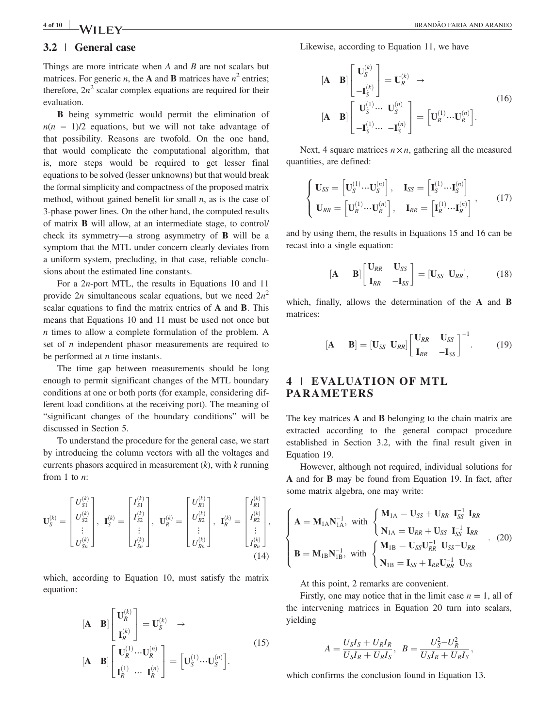# 3.2 | General case

Things are more intricate when  $A$  and  $B$  are not scalars but matrices. For generic *n*, the **A** and **B** matrices have  $n^2$  entries; therefore,  $2n^2$  scalar complex equations are required for their evaluation.

B being symmetric would permit the elimination of  $n(n - 1)/2$  equations, but we will not take advantage of that possibility. Reasons are twofold. On the one hand, that would complicate the computational algorithm, that is, more steps would be required to get lesser final equations to be solved (lesser unknowns) but that would break the formal simplicity and compactness of the proposed matrix method, without gained benefit for small  $n$ , as is the case of 3‐phase power lines. On the other hand, the computed results of matrix B will allow, at an intermediate stage, to control/ check its symmetry—a strong asymmetry of B will be a symptom that the MTL under concern clearly deviates from a uniform system, precluding, in that case, reliable conclusions about the estimated line constants.

For a 2*n*-port MTL, the results in Equations 10 and 11 provide 2n simultaneous scalar equations, but we need  $2n^2$ scalar equations to find the matrix entries of A and B. This means that Equations 10 and 11 must be used not once but n times to allow a complete formulation of the problem. A set of *n* independent phasor measurements are required to be performed at  $n$  time instants.

The time gap between measurements should be long enough to permit significant changes of the MTL boundary conditions at one or both ports (for example, considering different load conditions at the receiving port). The meaning of "significant changes of the boundary conditions" will be discussed in Section 5.

To understand the procedure for the general case, we start by introducing the column vectors with all the voltages and currents phasors acquired in measurement  $(k)$ , with  $k$  running from 1 to  $n$ :

$$
\mathbf{U}_{S}^{(k)} = \begin{bmatrix} U_{S1}^{(k)} \\ U_{S2}^{(k)} \\ \vdots \\ U_{Sn}^{(k)} \end{bmatrix}, \ \ \mathbf{I}_{S}^{(k)} = \begin{bmatrix} I_{S1}^{(k)} \\ I_{S2}^{(k)} \\ \vdots \\ I_{Sn}^{(k)} \end{bmatrix}, \ \ \mathbf{U}_{R}^{(k)} = \begin{bmatrix} U_{R1}^{(k)} \\ U_{R2}^{(k)} \\ \vdots \\ U_{Rn}^{(k)} \end{bmatrix}, \ \ \mathbf{I}_{R}^{(k)} = \begin{bmatrix} I_{R1}^{(k)} \\ I_{R2}^{(k)} \\ \vdots \\ I_{Rn}^{(k)} \end{bmatrix}, \tag{14}
$$

which, according to Equation 10, must satisfy the matrix equation:

$$
\begin{bmatrix} \mathbf{A} & \mathbf{B} \end{bmatrix} \begin{bmatrix} \mathbf{U}_{R}^{(k)} \\ \mathbf{I}_{R}^{(k)} \end{bmatrix} = \mathbf{U}_{S}^{(k)} \rightarrow
$$
\n
$$
\begin{bmatrix} \mathbf{A} & \mathbf{B} \end{bmatrix} \begin{bmatrix} \mathbf{U}_{R}^{(1)} \cdots \mathbf{U}_{R}^{(n)} \\ \mathbf{I}_{R}^{(1)} \cdots \mathbf{I}_{R}^{(n)} \end{bmatrix} = \begin{bmatrix} \mathbf{U}_{S}^{(1)} \cdots \mathbf{U}_{S}^{(n)} \end{bmatrix}.
$$
\n
$$
(15)
$$

Likewise, according to Equation 11, we have

$$
\begin{bmatrix} \mathbf{A} & \mathbf{B} \end{bmatrix} \begin{bmatrix} \mathbf{U}_{S}^{(k)} \\ -\mathbf{I}_{S}^{(k)} \end{bmatrix} = \mathbf{U}_{R}^{(k)} \rightarrow
$$
\n
$$
\begin{bmatrix} \mathbf{A} & \mathbf{B} \end{bmatrix} \begin{bmatrix} \mathbf{U}_{S}^{(1)} \cdots & \mathbf{U}_{S}^{(n)} \\ -\mathbf{I}_{S}^{(1)} \cdots & -\mathbf{I}_{S}^{(n)} \end{bmatrix} = \begin{bmatrix} \mathbf{U}_{R}^{(1)} \cdots & \mathbf{U}_{R}^{(n)} \end{bmatrix} . \tag{16}
$$

Next, 4 square matrices  $n \times n$ , gathering all the measured quantities, are defined:

$$
\begin{cases}\n\mathbf{U}_{SS} = \left[\mathbf{U}_{S}^{(1)} \cdots \mathbf{U}_{S}^{(n)}\right], & \mathbf{I}_{SS} = \left[\mathbf{I}_{S}^{(1)} \cdots \mathbf{I}_{S}^{(n)}\right] \\
\mathbf{U}_{RR} = \left[\mathbf{U}_{R}^{(1)} \cdots \mathbf{U}_{R}^{(n)}\right], & \mathbf{I}_{RR} = \left[\mathbf{I}_{R}^{(1)} \cdots \mathbf{I}_{R}^{(n)}\right] \n\end{cases} (17)
$$

and by using them, the results in Equations 15 and 16 can be recast into a single equation:

$$
\begin{bmatrix} \mathbf{A} & \mathbf{B} \end{bmatrix} \begin{bmatrix} \mathbf{U}_{RR} & \mathbf{U}_{SS} \\ \mathbf{I}_{RR} & -\mathbf{I}_{SS} \end{bmatrix} = \begin{bmatrix} \mathbf{U}_{SS} & \mathbf{U}_{RR} \end{bmatrix},\tag{18}
$$

which, finally, allows the determination of the A and B matrices:

$$
\begin{bmatrix} \mathbf{A} & \mathbf{B} \end{bmatrix} = \begin{bmatrix} \mathbf{U}_{SS} & \mathbf{U}_{RR} \end{bmatrix} \begin{bmatrix} \mathbf{U}_{RR} & \mathbf{U}_{SS} \\ \mathbf{I}_{RR} & -\mathbf{I}_{SS} \end{bmatrix}^{-1} . \tag{19}
$$

# 4 | EVALUAT ION OF MTL PARAMETERS

The key matrices **A** and **B** belonging to the chain matrix are extracted according to the general compact procedure established in Section 3.2, with the final result given in Equation 19.

However, although not required, individual solutions for A and for B may be found from Equation 19. In fact, after some matrix algebra, one may write:

$$
\begin{cases}\n\mathbf{A} = \mathbf{M}_{1\mathbf{A}} \mathbf{N}_{1\mathbf{A}}^{-1}, \text{ with } \begin{cases}\n\mathbf{M}_{1\mathbf{A}} = \mathbf{U}_{SS} + \mathbf{U}_{RR} & \mathbf{I}_{SS}^{-1} \mathbf{I}_{RR} \\
\mathbf{N}_{1\mathbf{A}} = \mathbf{U}_{RR} + \mathbf{U}_{SS} & \mathbf{I}_{SS}^{-1} \mathbf{I}_{RR} \\
\mathbf{B} = \mathbf{M}_{1\mathbf{B}} \mathbf{N}_{1\mathbf{B}}^{-1}, \text{ with } \begin{cases}\n\mathbf{M}_{1\mathbf{B}} = \mathbf{U}_{SS} \mathbf{U}_{RR}^{-1} & \mathbf{U}_{SS} - \mathbf{U}_{RR} \\
\mathbf{N}_{1\mathbf{B}} = \mathbf{I}_{SS} + \mathbf{I}_{RR} \mathbf{U}_{RR}^{-1} & \mathbf{U}_{SS}\n\end{cases}.\n\end{cases} (20)
$$

At this point, 2 remarks are convenient.

Firstly, one may notice that in the limit case  $n = 1$ , all of the intervening matrices in Equation 20 turn into scalars, yielding

$$
A = \frac{U_S I_S + U_R I_R}{U_S I_R + U_R I_S}, \ \ B = \frac{U_S^2 - U_R^2}{U_S I_R + U_R I_S}
$$

;

which confirms the conclusion found in Equation 13.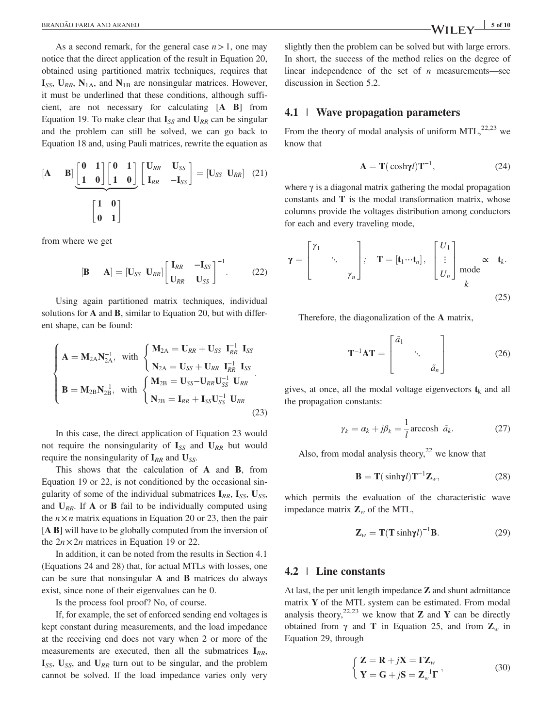As a second remark, for the general case  $n>1$ , one may notice that the direct application of the result in Equation 20, obtained using partitioned matrix techniques, requires that  $I_{SS}$ ,  $U_{RR}$ ,  $N_{1A}$ , and  $N_{1B}$  are nonsingular matrices. However, it must be underlined that these conditions, although sufficient, are not necessary for calculating [A B] from Equation 19. To make clear that  $I_{SS}$  and  $U_{RR}$  can be singular and the problem can still be solved, we can go back to Equation 18 and, using Pauli matrices, rewrite the equation as

$$
\begin{bmatrix} \mathbf{A} & \mathbf{B} \end{bmatrix} \begin{bmatrix} \mathbf{0} & \mathbf{1} \\ \mathbf{1} & \mathbf{0} \end{bmatrix} \begin{bmatrix} \mathbf{0} & \mathbf{1} \\ \mathbf{1} & \mathbf{0} \end{bmatrix} \begin{bmatrix} \mathbf{U}_{RR} & \mathbf{U}_{SS} \\ \mathbf{I}_{RR} & -\mathbf{I}_{SS} \end{bmatrix} = \begin{bmatrix} \mathbf{U}_{SS} & \mathbf{U}_{RR} \end{bmatrix} \tag{21}
$$
\n
$$
\begin{bmatrix} \mathbf{1} & \mathbf{0} \\ \mathbf{0} & \mathbf{1} \end{bmatrix}
$$

from where we get

$$
\begin{bmatrix} \mathbf{B} & \mathbf{A} \end{bmatrix} = \begin{bmatrix} \mathbf{U}_{SS} & \mathbf{U}_{RR} \end{bmatrix} \begin{bmatrix} \mathbf{I}_{RR} & -\mathbf{I}_{SS} \\ \mathbf{U}_{RR} & \mathbf{U}_{SS} \end{bmatrix}^{-1} . \tag{22}
$$

Using again partitioned matrix techniques, individual solutions for **A** and **B**, similar to Equation 20, but with different shape, can be found:

$$
\begin{cases}\n\mathbf{A} = \mathbf{M}_{2A} \mathbf{N}_{2A}^{-1}, \text{ with } \begin{cases}\n\mathbf{M}_{2A} = \mathbf{U}_{RR} + \mathbf{U}_{SS} & \mathbf{I}_{RR}^{-1} \mathbf{I}_{SS} \\
\mathbf{N}_{2A} = \mathbf{U}_{SS} + \mathbf{U}_{RR} & \mathbf{I}_{RR}^{-1} \mathbf{I}_{SS} \\
\mathbf{B} = \mathbf{M}_{2B} \mathbf{N}_{2B}^{-1}, \text{ with } \begin{cases}\n\mathbf{M}_{2B} = \mathbf{U}_{SS} - \mathbf{U}_{RR} \mathbf{U}_{SS}^{-1} & \mathbf{U}_{RR} \\
\mathbf{N}_{2B} = \mathbf{I}_{RR} + \mathbf{I}_{SS} \mathbf{U}_{SS}^{-1} & \mathbf{U}_{RR}\n\end{cases}\n\end{cases} (23)
$$

In this case, the direct application of Equation 23 would not require the nonsingularity of  $I_{SS}$  and  $U_{RR}$  but would require the nonsingularity of  $I_{RR}$  and  $U_{SS}$ .

This shows that the calculation of A and B, from Equation 19 or 22, is not conditioned by the occasional singularity of some of the individual submatrices  $I_{RR}$ ,  $I_{SS}$ ,  $U_{SS}$ , and  $U_{RR}$ . If A or B fail to be individually computed using the  $n \times n$  matrix equations in Equation 20 or 23, then the pair [A B] will have to be globally computed from the inversion of the  $2n \times 2n$  matrices in Equation 19 or 22.

In addition, it can be noted from the results in Section 4.1 (Equations 24 and 28) that, for actual MTLs with losses, one can be sure that nonsingular A and B matrices do always exist, since none of their eigenvalues can be 0.

Is the process fool proof? No, of course.

If, for example, the set of enforced sending end voltages is kept constant during measurements, and the load impedance at the receiving end does not vary when 2 or more of the measurements are executed, then all the submatrices  $I_{RR}$ ,  $I_{SS}$ ,  $U_{SS}$ , and  $U_{RR}$  turn out to be singular, and the problem cannot be solved. If the load impedance varies only very

slightly then the problem can be solved but with large errors. In short, the success of the method relies on the degree of linear independence of the set of  $n$  measurements—see discussion in Section 5.2.

# 4.1 | Wave propagation parameters

From the theory of modal analysis of uniform  $MTL$ ,<sup>22,23</sup> we know that

$$
\mathbf{A} = \mathbf{T}(\cosh \gamma l) \mathbf{T}^{-1},\tag{24}
$$

where  $\gamma$  is a diagonal matrix gathering the modal propagation constants and T is the modal transformation matrix, whose columns provide the voltages distribution among conductors for each and every traveling mode,

$$
\gamma = \begin{bmatrix} \gamma_1 & & \\ & \ddots & \\ & & \gamma_n \end{bmatrix}; \quad \mathbf{T} = [\mathbf{t}_1 \cdots \mathbf{t}_n], \quad \begin{bmatrix} U_1 \\ \vdots \\ U_n \end{bmatrix} \text{mode} \propto \quad \mathbf{t}_k.
$$
\n(25)

Therefore, the diagonalization of the A matrix,

$$
\mathbf{T}^{-1}\mathbf{A}\mathbf{T} = \begin{bmatrix} \tilde{a}_1 & & \\ & \ddots & \\ & & \tilde{a}_n \end{bmatrix} \tag{26}
$$

gives, at once, all the modal voltage eigenvectors  $t_k$  and all the propagation constants:

$$
\gamma_k = \alpha_k + j\beta_k = \frac{1}{l} \text{arccosh } \tilde{a}_k. \tag{27}
$$

Also, from modal analysis theory,  $2^2$  we know that

$$
\mathbf{B} = \mathbf{T}(\sinh\gamma t)\mathbf{T}^{-1}\mathbf{Z}_w,\tag{28}
$$

which permits the evaluation of the characteristic wave impedance matrix  $\mathbf{Z}_w$  of the MTL,

$$
\mathbf{Z}_w = \mathbf{T}(\mathbf{T}\sinh\gamma l)^{-1}\mathbf{B}.
$$
 (29)

# 4.2 | Line constants

At last, the per unit length impedance Z and shunt admittance matrix Y of the MTL system can be estimated. From modal analysis theory,  $22,23$  we know that **Z** and **Y** can be directly obtained from  $\gamma$  and **T** in Equation 25, and from  $\mathbb{Z}_w$  in Equation 29, through

$$
\begin{cases}\n\mathbf{Z} = \mathbf{R} + j\mathbf{X} = \mathbf{\Gamma} \mathbf{Z}_w \\
\mathbf{Y} = \mathbf{G} + j\mathbf{S} = \mathbf{Z}_w^{-1} \mathbf{\Gamma}\n\end{cases} \tag{30}
$$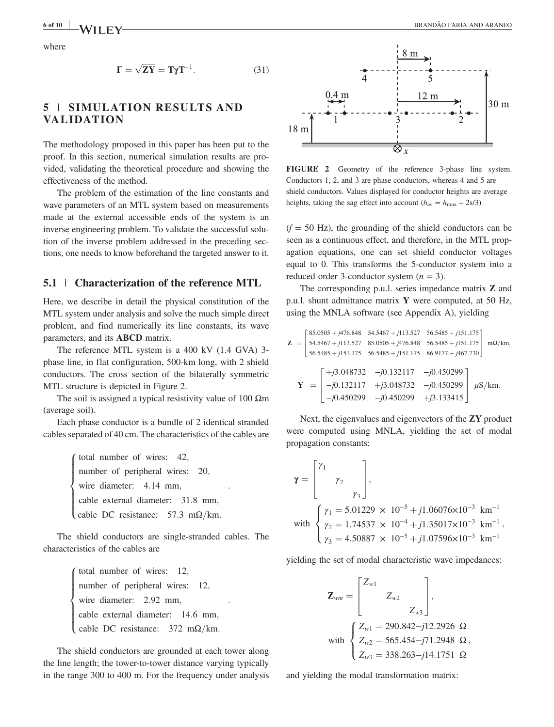$$
\Gamma = \sqrt{ZY} = T\gamma T^{-1}.
$$
 (31)

# 5 | SIMULATION RESULTS AND **VALIDATION**

The methodology proposed in this paper has been put to the proof. In this section, numerical simulation results are provided, validating the theoretical procedure and showing the effectiveness of the method.

The problem of the estimation of the line constants and wave parameters of an MTL system based on measurements made at the external accessible ends of the system is an inverse engineering problem. To validate the successful solution of the inverse problem addressed in the preceding sections, one needs to know beforehand the targeted answer to it.

#### 5.1 | Characterization of the reference MTL

Here, we describe in detail the physical constitution of the MTL system under analysis and solve the much simple direct problem, and find numerically its line constants, its wave parameters, and its ABCD matrix.

The reference MTL system is a 400 kV (1.4 GVA) 3phase line, in flat configuration, 500‐km long, with 2 shield conductors. The cross section of the bilaterally symmetric MTL structure is depicted in Figure 2.

The soil is assigned a typical resistivity value of 100  $\Omega$ m (average soil).

Each phase conductor is a bundle of 2 identical stranded cables separated of 40 cm. The characteristics of the cables are

> total number of wires: 42; number of peripheral wires: 20; wire diameter: 4.14 mm, cable external diameter: 31:8 mm; cable DC resistance:  $57.3 \text{ mA/km}$ .  $\sqrt{ }$  $\int$  $\left\{ \right.$

The shield conductors are single‐stranded cables. The characteristics of the cables are

> total number of wires: 12, number of peripheral wires: 12; wire diameter: 2.92 mm, cable external diameter: 14:6 mm; cable DC resistance:  $372 \text{ mA/km}$ .  $\sqrt{ }$  $\int$  $\left\{ \right.$

The shield conductors are grounded at each tower along the line length; the tower‐to‐tower distance varying typically in the range 300 to 400 m. For the frequency under analysis



FIGURE 2 Geometry of the reference 3-phase line system. Conductors 1, 2, and 3 are phase conductors, whereas 4 and 5 are shield conductors. Values displayed for conductor heights are average heights, taking the sag effect into account  $(h_{\text{av}} = h_{\text{max}} - 2s/3)$ 

 $(f = 50$  Hz), the grounding of the shield conductors can be seen as a continuous effect, and therefore, in the MTL propagation equations, one can set shield conductor voltages equal to 0. This transforms the 5‐conductor system into a reduced order 3-conductor system  $(n = 3)$ .

The corresponding p.u.l. series impedance matrix Z and p.u.l. shunt admittance matrix Y were computed, at 50 Hz, using the MNLA software (see Appendix A), yielding

$$
\mathbf{Z} = \begin{bmatrix} 85.0505 + j476.848 & 54.5467 + j113.527 & 56.5485 + j151.175 \\ 54.5467 + j113.527 & 85.0505 + j476.848 & 56.5485 + j151.175 \\ 56.5485 + j151.175 & 56.5485 + j151.175 & 86.9177 + j467.730 \end{bmatrix} \text{ m}\Omega/\text{km},
$$
\n
$$
\mathbf{Y} = \begin{bmatrix} +j3.048732 & -j0.132117 & -j0.450299 \\ -j0.132117 & +j3.048732 & -j0.450299 \\ -j0.450299 & -j0.450299 & +j3.133415 \end{bmatrix} \mu\text{S}/\text{km}.
$$

Next, the eigenvalues and eigenvectors of the ZY product were computed using MNLA, yielding the set of modal propagation constants:

$$
\gamma = \begin{bmatrix} \gamma_1 \\ \gamma_2 \\ \gamma_3 \end{bmatrix},
$$
  
with 
$$
\begin{cases} \gamma_1 = 5.01229 \times 10^{-5} + j1.06076 \times 10^{-3} \text{ km}^{-1} \\ \gamma_2 = 1.74537 \times 10^{-4} + j1.35017 \times 10^{-3} \text{ km}^{-1}, \\ \gamma_3 = 4.50887 \times 10^{-5} + j1.07596 \times 10^{-3} \text{ km}^{-1} \end{cases}
$$

yielding the set of modal characteristic wave impedances:

$$
\mathbf{Z}_{wm} = \begin{bmatrix} Z_{w1} \\ Z_{w2} \\ Z_{w3} \end{bmatrix},
$$
  
with 
$$
\begin{cases} Z_{w1} = 290.842 - j12.2926 \ \Omega \\ Z_{w2} = 565.454 - j71.2948 \ \Omega \\ Z_{w3} = 338.263 - j14.1751 \ \Omega \end{cases}
$$

and yielding the modal transformation matrix: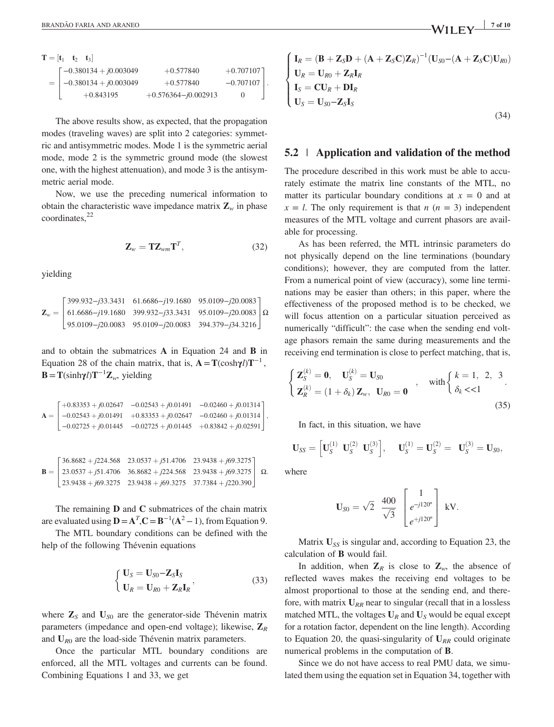| $\mathbf{T} =  \mathbf{t}_1 \quad \mathbf{t}_2 \quad \mathbf{t}_3 $ |                                       |                         |               |  |
|---------------------------------------------------------------------|---------------------------------------|-------------------------|---------------|--|
|                                                                     | $\lceil -0.380134 + j0.003049 \rceil$ | $+0.577840$             | $+0.707107$ ] |  |
|                                                                     | $=$ $\Big  -0.380134 + j0.003049$     | $+0.577840$             | $-0.707107$ . |  |
|                                                                     | $+0.843195$                           | $+0.576364 - i0.002913$ |               |  |
|                                                                     |                                       |                         |               |  |

The above results show, as expected, that the propagation modes (traveling waves) are split into 2 categories: symmetric and antisymmetric modes. Mode 1 is the symmetric aerial mode, mode 2 is the symmetric ground mode (the slowest one, with the highest attenuation), and mode 3 is the antisymmetric aerial mode.

Now, we use the preceding numerical information to obtain the characteristic wave impedance matrix  $\mathbf{Z}_w$  in phase coordinates,<sup>22</sup>

$$
\mathbf{Z}_w = \mathbf{T} \mathbf{Z}_{wm} \mathbf{T}^T, \tag{32}
$$

yielding

$$
\mathbf{Z}_{w} = \begin{bmatrix} 399.932 - j33.3431 & 61.6686 - j19.1680 & 95.0109 - j20.0083 \\ 61.6686 - j19.1680 & 399.932 - j33.3431 & 95.0109 - j20.0083 \\ 95.0109 - j20.0083 & 95.0109 - j20.0083 & 394.379 - j34.3216 \end{bmatrix} \Omega
$$

and to obtain the submatrices A in Equation 24 and B in Equation 28 of the chain matrix, that is,  $\mathbf{A} = \mathbf{T}(\cosh \gamma l) \mathbf{T}^{-1}$ ,  $\mathbf{B} = \mathbf{T}(\sinh \gamma l) \mathbf{T}^{-1} \mathbf{Z}_w$ , yielding

$$
\mathbf{A} = \begin{bmatrix} +0.83353 + j0.02647 & -0.02543 + j0.01491 & -0.02460 + j0.01314 \\ -0.02543 + j0.01491 & +0.83353 + j0.02647 & -0.02460 + j0.01314 \\ -0.02725 + j0.01445 & -0.02725 + j0.01445 & +0.83842 + j0.02591 \end{bmatrix},
$$

$$
\mathbf{B} = \begin{bmatrix} 36.8682 + j224.568 & 23.0537 + j51.4706 & 23.9438 + j69.3275 \\ 23.0537 + j51.4706 & 36.8682 + j224.568 & 23.9438 + j69.3275 \\ 23.9438 + j69.3275 & 23.9438 + j69.3275 & 37.7384 + j220.390 \end{bmatrix} \ \Omega.
$$

The remaining **D** and **C** submatrices of the chain matrix are evaluated using  $\mathbf{D} = \mathbf{A}^T$ , $\mathbf{C} = \mathbf{B}^{-1}(\mathbf{A}^2 - 1)$ , from Equation 9.

The MTL boundary conditions can be defined with the help of the following Thévenin equations

$$
\begin{cases} \mathbf{U}_S = \mathbf{U}_{S0} - \mathbf{Z}_S \mathbf{I}_S \\ \mathbf{U}_R = \mathbf{U}_{R0} + \mathbf{Z}_R \mathbf{I}_R \end{cases} (33)
$$

where  $\mathbb{Z}_s$  and  $\mathbb{U}_{s0}$  are the generator-side Thévenin matrix parameters (impedance and open-end voltage); likewise,  $\mathbf{Z}_R$ and  $U_{R0}$  are the load-side Thévenin matrix parameters.

Once the particular MTL boundary conditions are enforced, all the MTL voltages and currents can be found. Combining Equations 1 and 33, we get

$$
\begin{cases}\n\mathbf{I}_R = (\mathbf{B} + \mathbf{Z}_S \mathbf{D} + (\mathbf{A} + \mathbf{Z}_S \mathbf{C}) \mathbf{Z}_R)^{-1} (\mathbf{U}_{S0} - (\mathbf{A} + \mathbf{Z}_S \mathbf{C}) \mathbf{U}_{R0}) \\
\mathbf{U}_R = \mathbf{U}_{R0} + \mathbf{Z}_R \mathbf{I}_R \\
\mathbf{I}_S = \mathbf{C} \mathbf{U}_R + \mathbf{D} \mathbf{I}_R \\
\mathbf{U}_S = \mathbf{U}_{S0} - \mathbf{Z}_S \mathbf{I}_S\n\end{cases}
$$
\n(34)

# 5.2 | Application and validation of the method

The procedure described in this work must be able to accurately estimate the matrix line constants of the MTL, no matter its particular boundary conditions at  $x = 0$  and at  $x = l$ . The only requirement is that  $n (n = 3)$  independent measures of the MTL voltage and current phasors are available for processing.

As has been referred, the MTL intrinsic parameters do not physically depend on the line terminations (boundary conditions); however, they are computed from the latter. From a numerical point of view (accuracy), some line terminations may be easier than others; in this paper, where the effectiveness of the proposed method is to be checked, we will focus attention on a particular situation perceived as numerically "difficult": the case when the sending end voltage phasors remain the same during measurements and the receiving end termination is close to perfect matching, that is,

$$
\begin{cases}\n\mathbf{Z}_{S}^{(k)} = \mathbf{0}, \quad \mathbf{U}_{S}^{(k)} = \mathbf{U}_{S0} \\
\mathbf{Z}_{R}^{(k)} = (1 + \delta_{k}) \mathbf{Z}_{w}, \quad \mathbf{U}_{R0} = \mathbf{0}\n\end{cases}, \quad \text{with } \begin{cases}\nk = 1, 2, 3 \\
\delta_{k} < 1\n\end{cases}.
$$
\n(35)

In fact, in this situation, we have

$$
\mathbf{U}_{SS} = \begin{bmatrix} \mathbf{U}_{S}^{(1)} & \mathbf{U}_{S}^{(2)} & \mathbf{U}_{S}^{(3)} \end{bmatrix}, \quad \mathbf{U}_{S}^{(1)} = \mathbf{U}_{S}^{(2)} = \mathbf{U}_{S}^{(3)} = \mathbf{U}_{S0},
$$

where

$$
\mathbf{U}_{S0} = \sqrt{2} \frac{400}{\sqrt{3}} \begin{bmatrix} 1 \\ e^{-j120^{\circ}} \\ e^{+j120^{\circ}} \end{bmatrix} \text{ kV}.
$$

Matrix  $U_{SS}$  is singular and, according to Equation 23, the calculation of B would fail.

In addition, when  $\mathbb{Z}_R$  is close to  $\mathbb{Z}_w$ , the absence of reflected waves makes the receiving end voltages to be almost proportional to those at the sending end, and therefore, with matrix  $U_{RR}$  near to singular (recall that in a lossless matched MTL, the voltages  $U_R$  and  $U_S$  would be equal except for a rotation factor, dependent on the line length). According to Equation 20, the quasi-singularity of  $U_{RR}$  could originate numerical problems in the computation of B.

Since we do not have access to real PMU data, we simulated them using the equation set in Equation 34, together with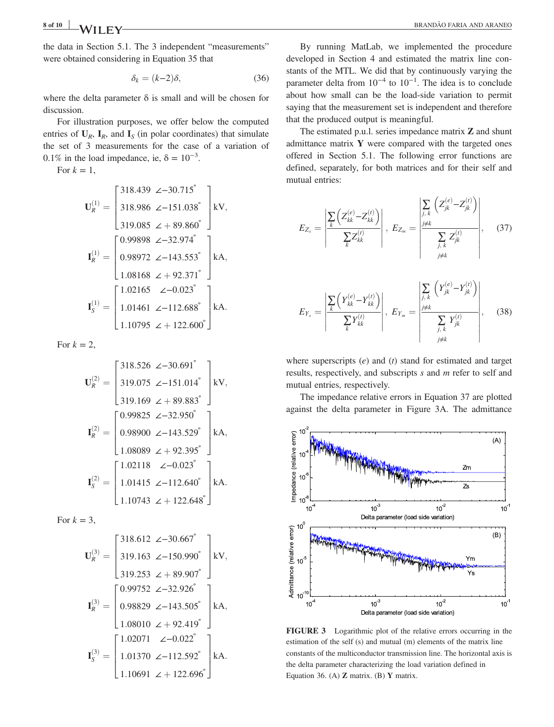the data in Section 5.1. The 3 independent "measurements" were obtained considering in Equation 35 that

$$
\delta_k = (k-2)\delta,\tag{36}
$$

where the delta parameter  $\delta$  is small and will be chosen for discussion.

For illustration purposes, we offer below the computed entries of  $U_R$ ,  $I_R$ , and  $I_S$  (in polar coordinates) that simulate the set of 3 measurements for the case of a variation of 0.1% in the load impedance, ie,  $\delta = 10^{-3}$ .

For  $k = 1$ ,

$$
\mathbf{U}_{R}^{(1)} = \begin{bmatrix} 318.439 & \angle -30.715^{\circ} \\ 318.986 & \angle -151.038^{\circ} \\ 319.085 & \angle +89.860^{\circ} \end{bmatrix} \text{kV},
$$

$$
\mathbf{I}_{R}^{(1)} = \begin{bmatrix} 0.99898 & \angle -32.974^{\circ} \\ 0.98972 & \angle -143.553^{\circ} \\ 1.08168 & \angle +92.371^{\circ} \end{bmatrix} \text{kA},
$$

$$
\mathbf{I}_{S}^{(1)} = \begin{bmatrix} 1.02165 & \angle -0.023^{\circ} \\ 1.01461 & \angle -112.688^{\circ} \\ 1.10795 & \angle +122.600^{\circ} \end{bmatrix} \text{kA}.
$$

For  $k = 2$ ,

$$
\mathbf{U}_{R}^{(2)} = \begin{bmatrix} 318.526 & \angle -30.691^{\circ} \\ 319.075 & \angle -151.014^{\circ} \\ 319.169 & \angle +89.883^{\circ} \end{bmatrix} \text{kV},
$$

$$
\mathbf{I}_{R}^{(2)} = \begin{bmatrix} 0.99825 & \angle -32.950^{\circ} \\ 0.98900 & \angle -143.529^{\circ} \\ 1.08089 & \angle +92.395^{\circ} \end{bmatrix} \text{kA},
$$

$$
\mathbf{I}_{S}^{(2)} = \begin{bmatrix} 1.02118 & \angle -0.023^{\circ} \\ 1.01415 & \angle -112.640^{\circ} \\ 1.10743 & \angle +122.648^{\circ} \end{bmatrix} \text{kA}.
$$

For  $k = 3$ ,

$$
\mathbf{U}_{R}^{(3)} = \begin{bmatrix} 318.612 & \angle -30.667^{\circ} \\ 319.163 & \angle -150.990^{\circ} \\ 319.253 & \angle +89.907^{\circ} \end{bmatrix} \text{kV},
$$

$$
\mathbf{I}_{R}^{(3)} = \begin{bmatrix} 0.99752 & \angle -32.926^{\circ} \\ 0.98829 & \angle -143.505^{\circ} \\ 1.08010 & \angle +92.419^{\circ} \end{bmatrix} \text{kA},
$$

$$
\mathbf{I}_{S}^{(3)} = \begin{bmatrix} 1.02071 & \angle -0.022^{\circ} \\ 1.01370 & \angle -112.592^{\circ} \\ 1.10691 & \angle +122.696^{\circ} \end{bmatrix} \text{kA}.
$$

By running MatLab, we implemented the procedure developed in Section 4 and estimated the matrix line constants of the MTL. We did that by continuously varying the parameter delta from  $10^{-4}$  to  $10^{-1}$ . The idea is to conclude about how small can be the load‐side variation to permit saying that the measurement set is independent and therefore that the produced output is meaningful.

The estimated p.u.l. series impedance matrix Z and shunt admittance matrix  $Y$  were compared with the targeted ones offered in Section 5.1. The following error functions are defined, separately, for both matrices and for their self and mutual entries:

$$
E_{Z_s} = \left| \frac{\sum_{k} \left( Z_{kk}^{(e)} - Z_{kk}^{(t)} \right)}{\sum_{k} Z_{kk}^{(t)}} \right|, E_{Z_m} = \left| \frac{\sum_{j,k} \left( Z_{jk}^{(e)} - Z_{jk}^{(t)} \right)}{\sum_{j,k} Z_{jk}^{(t)}} \right|, \quad (37)
$$

$$
E_{Y_s} = \left| \frac{\sum_{k} \left( Y_{kk}^{(e)} - Y_{kk}^{(t)} \right)}{\sum_{k} Y_{kk}^{(t)}} \right|, \ E_{Y_m} = \left| \frac{\sum_{j,k} \left( Y_{jk}^{(e)} - Y_{jk}^{(t)} \right)}{\sum_{j,k} Y_{jk}^{(t)}} \right|, \tag{38}
$$

where superscripts  $(e)$  and  $(t)$  stand for estimated and target results, respectively, and subscripts s and m refer to self and mutual entries, respectively.

The impedance relative errors in Equation 37 are plotted against the delta parameter in Figure 3A. The admittance



FIGURE 3 Logarithmic plot of the relative errors occurring in the estimation of the self (s) and mutual (m) elements of the matrix line constants of the multiconductor transmission line. The horizontal axis is the delta parameter characterizing the load variation defined in Equation 36. (A)  $\mathbb Z$  matrix. (B)  $\mathbb Y$  matrix.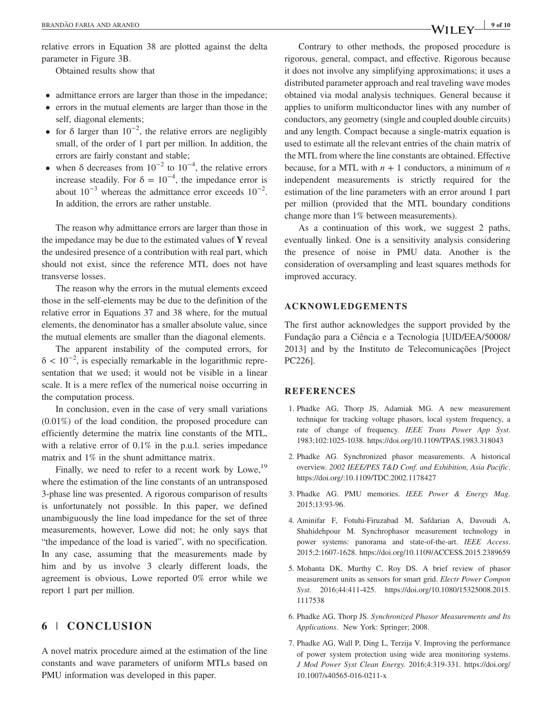relative errors in Equation 38 are plotted against the delta parameter in Figure 3B.

Obtained results show that

- admittance errors are larger than those in the impedance;
- errors in the mutual elements are larger than those in the self, diagonal elements;
- for  $\delta$  larger than 10<sup>-2</sup>, the relative errors are negligibly small, of the order of 1 part per million. In addition, the errors are fairly constant and stable;
- when  $\delta$  decreases from  $10^{-2}$  to  $10^{-4}$ , the relative errors increase steadily. For  $\delta = 10^{-4}$ , the impedance error is about  $10^{-3}$  whereas the admittance error exceeds  $10^{-2}$ . In addition, the errors are rather unstable.

The reason why admittance errors are larger than those in the impedance may be due to the estimated values of  $Y$  reveal the undesired presence of a contribution with real part, which should not exist, since the reference MTL does not have transverse losses.

The reason why the errors in the mutual elements exceed those in the self‐elements may be due to the definition of the relative error in Equations 37 and 38 where, for the mutual elements, the denominator has a smaller absolute value, since the mutual elements are smaller than the diagonal elements.

The apparent instability of the computed errors, for  $\delta$  < 10<sup>-2</sup>, is especially remarkable in the logarithmic representation that we used; it would not be visible in a linear scale. It is a mere reflex of the numerical noise occurring in the computation process.

In conclusion, even in the case of very small variations (0.01%) of the load condition, the proposed procedure can efficiently determine the matrix line constants of the MTL, with a relative error of 0.1% in the p.u.l. series impedance matrix and 1% in the shunt admittance matrix.

Finally, we need to refer to a recent work by Lowe, $^{19}$ where the estimation of the line constants of an untransposed 3‐phase line was presented. A rigorous comparison of results is unfortunately not possible. In this paper, we defined unambiguously the line load impedance for the set of three measurements, however, Lowe did not; he only says that "the impedance of the load is varied", with no specification. In any case, assuming that the measurements made by him and by us involve 3 clearly different loads, the agreement is obvious, Lowe reported 0% error while we report 1 part per million.

# 6 | CONCLUSION

A novel matrix procedure aimed at the estimation of the line constants and wave parameters of uniform MTLs based on PMU information was developed in this paper.

Contrary to other methods, the proposed procedure is rigorous, general, compact, and effective. Rigorous because it does not involve any simplifying approximations; it uses a distributed parameter approach and real traveling wave modes obtained via modal analysis techniques. General because it applies to uniform multiconductor lines with any number of conductors, any geometry (single and coupled double circuits) and any length. Compact because a single‐matrix equation is used to estimate all the relevant entries of the chain matrix of the MTL from where the line constants are obtained. Effective because, for a MTL with  $n + 1$  conductors, a minimum of n independent measurements is strictly required for the estimation of the line parameters with an error around 1 part per million (provided that the MTL boundary conditions change more than 1% between measurements).

As a continuation of this work, we suggest 2 paths, eventually linked. One is a sensitivity analysis considering the presence of noise in PMU data. Another is the consideration of oversampling and least squares methods for improved accuracy.

# ACKNOWLEDGEMENTS

The first author acknowledges the support provided by the Fundação para a Ciência e a Tecnologia [UID/EEA/50008/ 2013] and by the Instituto de Telecomunicações [Project PC226].

# **REFERENCES**

- 1. Phadke AG, Thorp JS, Adamiak MG. A new measurement technique for tracking voltage phasors, local system frequency, a rate of change of frequency. IEEE Trans Power App Syst. 1983;102:1025‐1038.<https://doi.org/10.1109/TPAS.1983.318043>
- 2. Phadke AG. Synchronized phasor measurements. A historical overview. 2002 IEEE/PES T&D Conf. and Exhibition, Asia Pacific. <https://doi.org/:10.1109/TDC.2002.1178427>
- 3. Phadke AG. PMU memories. IEEE Power & Energy Mag. 2015;13:93‐96.
- 4. Aminifar F, Fotuhi‐Firuzabad M, Safdarian A, Davoudi A, Shahidehpour M. Synchrophasor measurement technology in power systems: panorama and state-of-the-art. IEEE Access. 2015;2:1607‐1628.<https://doi.org/10.1109/ACCESS.2015.2389659>
- 5. Mohanta DK, Murthy C, Roy DS. A brief review of phasor measurement units as sensors for smart grid. Electr Power Compon Syst. 2016;44:411‐425. [https://doi.org/10.1080/15325008.2015.](https://doi.org/10.1080/15325008.2015.1117538) [1117538](https://doi.org/10.1080/15325008.2015.1117538)
- 6. Phadke AG, Thorp JS. Synchronized Phasor Measurements and Its Applications. New York: Springer; 2008.
- 7. Phadke AG, Wall P, Ding L, Terzija V. Improving the performance of power system protection using wide area monitoring systems. J Mod Power Syst Clean Energy. 2016;4:319‐331. [https://doi.org/](https://doi.org/10.1007/s40565-016-0211-x) [10.1007/s40565](https://doi.org/10.1007/s40565-016-0211-x)‐016‐0211‐x